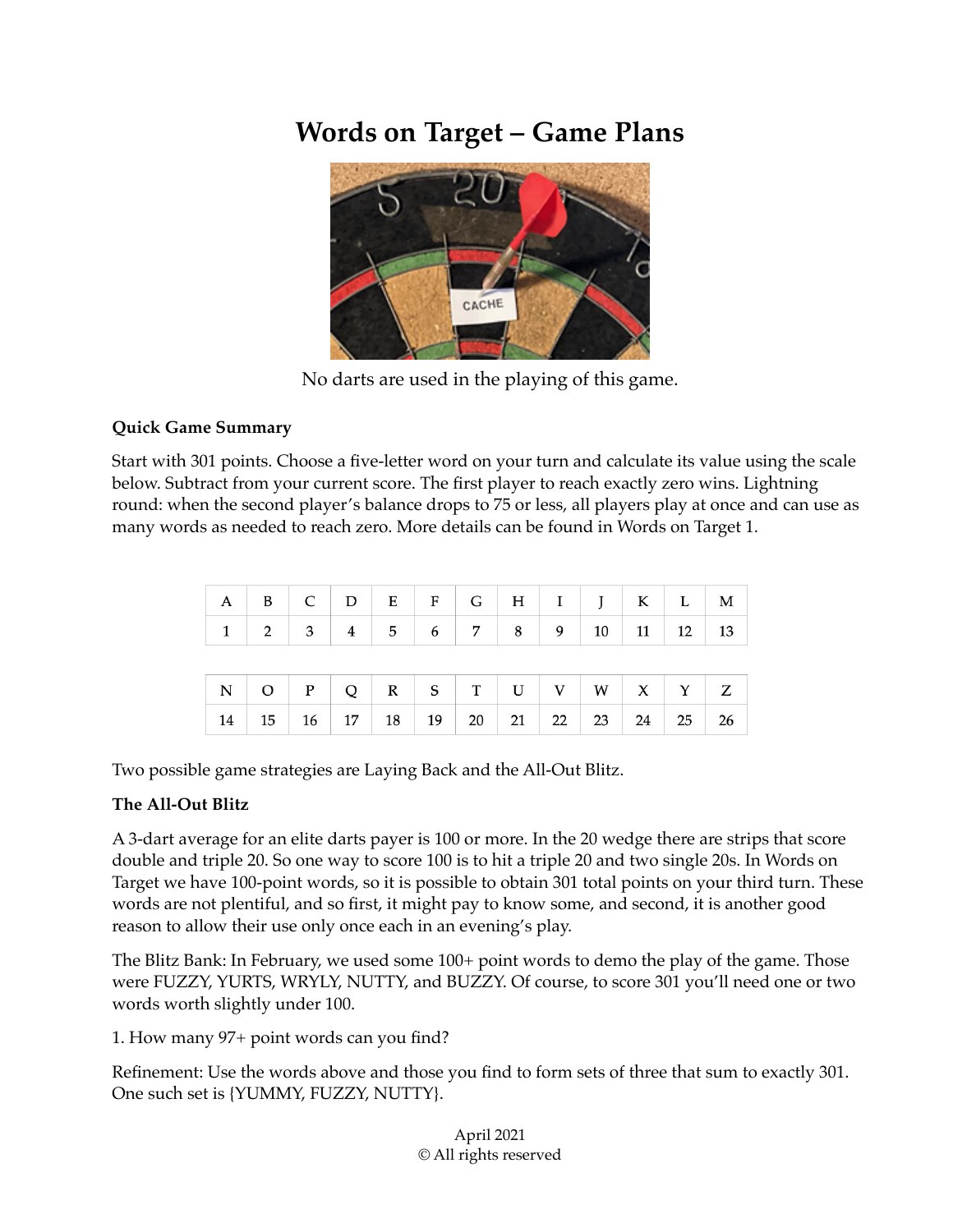## **Words on Target – Game Plans**



No darts are used in the playing of this game.

## **Quick Game Summary**

Start with 301 points. Choose a five-letter word on your turn and calculate its value using the scale below. Subtract from your current score. The first player to reach exactly zero wins. Lightning round: when the second player's balance drops to 75 or less, all players play at once and can use as many words as needed to reach zero. More details can be found in Words on Target 1.

| $A \mid B \mid C \mid D \mid E \mid F \mid G \mid H \mid I \mid J \mid K \mid L \mid M$ |  |                                  |  |  |                                                                                      |  |  |
|-----------------------------------------------------------------------------------------|--|----------------------------------|--|--|--------------------------------------------------------------------------------------|--|--|
| 1                                                                                       |  |                                  |  |  | $2 \mid 3 \mid 4 \mid 5 \mid 6 \mid 7 \mid 8 \mid 9 \mid 10 \mid 11 \mid 12 \mid 13$ |  |  |
|                                                                                         |  |                                  |  |  |                                                                                      |  |  |
|                                                                                         |  |                                  |  |  |                                                                                      |  |  |
| 14                                                                                      |  | 15   16   17   18   19   20   21 |  |  | 22 23 24 25 26                                                                       |  |  |

Two possible game strategies are Laying Back and the All-Out Blitz.

## **The All-Out Blitz**

A 3-dart average for an elite darts payer is 100 or more. In the 20 wedge there are strips that score double and triple 20. So one way to score 100 is to hit a triple 20 and two single 20s. In Words on Target we have 100-point words, so it is possible to obtain 301 total points on your third turn. These words are not plentiful, and so first, it might pay to know some, and second, it is another good reason to allow their use only once each in an evening's play.

The Blitz Bank: In February, we used some 100+ point words to demo the play of the game. Those were FUZZY, YURTS, WRYLY, NUTTY, and BUZZY. Of course, to score 301 you'll need one or two words worth slightly under 100.

1. How many 97+ point words can you find?

Refinement: Use the words above and those you find to form sets of three that sum to exactly 301. One such set is {YUMMY, FUZZY, NUTTY}.

> April 2021 © All rights reserved